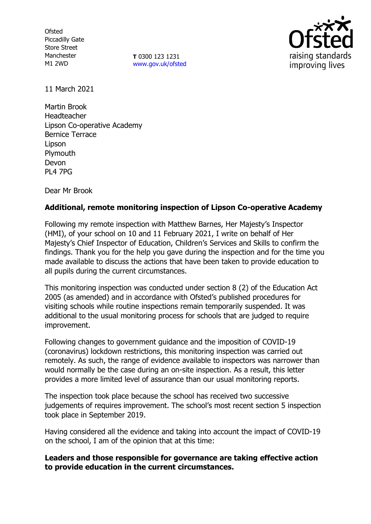**Ofsted** Piccadilly Gate Store Street Manchester M1 2WD

**T** 0300 123 1231 [www.gov.uk/ofsted](http://www.gov.uk/ofsted)



11 March 2021

Martin Brook Headteacher Lipson Co-operative Academy Bernice Terrace Lipson **Plymouth** Devon PL4 7PG

Dear Mr Brook

# **Additional, remote monitoring inspection of Lipson Co-operative Academy**

Following my remote inspection with Matthew Barnes, Her Majesty's Inspector (HMI), of your school on 10 and 11 February 2021, I write on behalf of Her Majesty's Chief Inspector of Education, Children's Services and Skills to confirm the findings. Thank you for the help you gave during the inspection and for the time you made available to discuss the actions that have been taken to provide education to all pupils during the current circumstances.

This monitoring inspection was conducted under section 8 (2) of the Education Act 2005 (as amended) and in accordance with Ofsted's published procedures for visiting schools while routine inspections remain temporarily suspended. It was additional to the usual monitoring process for schools that are judged to require improvement.

Following changes to government guidance and the imposition of COVID-19 (coronavirus) lockdown restrictions, this monitoring inspection was carried out remotely. As such, the range of evidence available to inspectors was narrower than would normally be the case during an on-site inspection. As a result, this letter provides a more limited level of assurance than our usual monitoring reports.

The inspection took place because the school has received two successive judgements of requires improvement. The school's most recent section 5 inspection took place in September 2019.

Having considered all the evidence and taking into account the impact of COVID-19 on the school, I am of the opinion that at this time:

## **Leaders and those responsible for governance are taking effective action to provide education in the current circumstances.**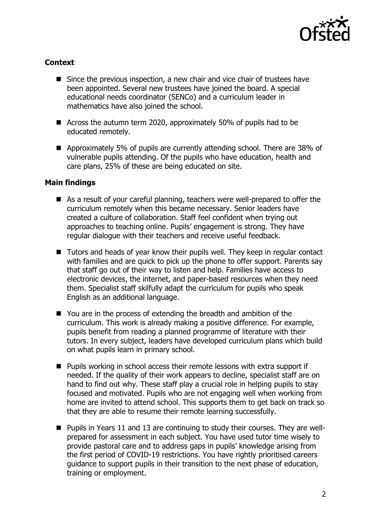

## **Context**

- Since the previous inspection, a new chair and vice chair of trustees have been appointed. Several new trustees have joined the board. A special educational needs coordinator (SENCo) and a curriculum leader in mathematics have also joined the school.
- Across the autumn term 2020, approximately 50% of pupils had to be educated remotely.
- Approximately 5% of pupils are currently attending school. There are 38% of vulnerable pupils attending. Of the pupils who have education, health and care plans, 25% of these are being educated on site.

## **Main findings**

- As a result of your careful planning, teachers were well-prepared to offer the curriculum remotely when this became necessary. Senior leaders have created a culture of collaboration. Staff feel confident when trying out approaches to teaching online. Pupils' engagement is strong. They have regular dialogue with their teachers and receive useful feedback.
- Tutors and heads of year know their pupils well. They keep in regular contact with families and are quick to pick up the phone to offer support. Parents say that staff go out of their way to listen and help. Families have access to electronic devices, the internet, and paper-based resources when they need them. Specialist staff skilfully adapt the curriculum for pupils who speak English as an additional language.
- You are in the process of extending the breadth and ambition of the curriculum. This work is already making a positive difference. For example, pupils benefit from reading a planned programme of literature with their tutors. In every subject, leaders have developed curriculum plans which build on what pupils learn in primary school.
- **Pupils working in school access their remote lessons with extra support if** needed. If the quality of their work appears to decline, specialist staff are on hand to find out why. These staff play a crucial role in helping pupils to stay focused and motivated. Pupils who are not engaging well when working from home are invited to attend school. This supports them to get back on track so that they are able to resume their remote learning successfully.
- Pupils in Years 11 and 13 are continuing to study their courses. They are wellprepared for assessment in each subject. You have used tutor time wisely to provide pastoral care and to address gaps in pupils' knowledge arising from the first period of COVID-19 restrictions. You have rightly prioritised careers guidance to support pupils in their transition to the next phase of education, training or employment.